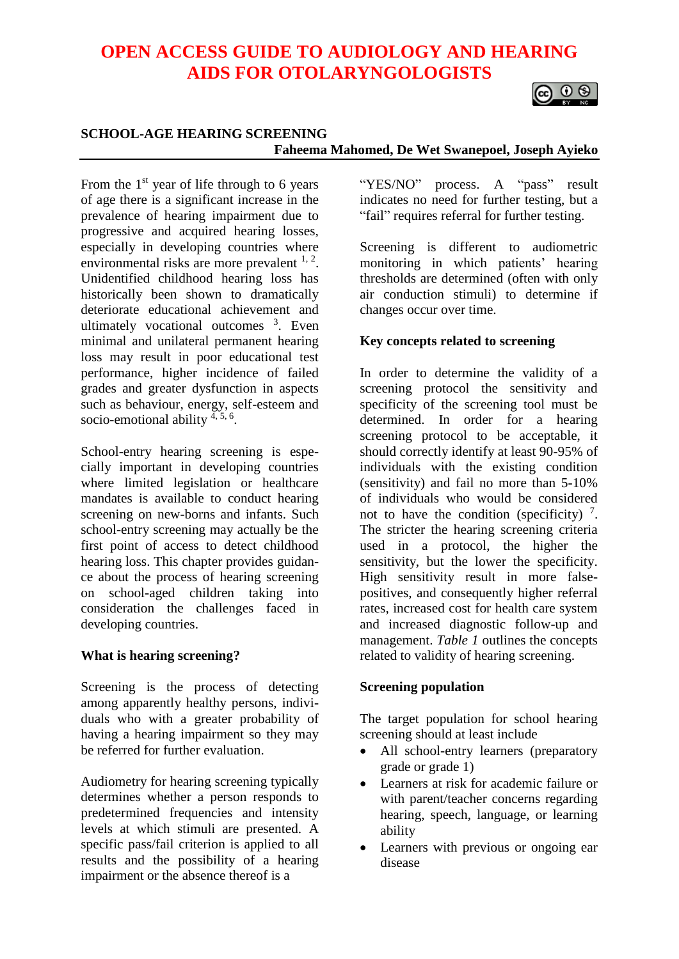# **OPEN ACCESS GUIDE TO AUDIOLOGY AND HEARING AIDS FOR OTOLARYNGOLOGISTS**



#### **SCHOOL-AGE HEARING SCREENING Faheema Mahomed, De Wet Swanepoel, Joseph Ayieko**

From the  $1<sup>st</sup>$  year of life through to 6 years of age there is a significant increase in the prevalence of hearing impairment due to progressive and acquired hearing losses, especially in developing countries where environmental risks are more prevalent  $1, 2$ . Unidentified childhood hearing loss has historically been shown to dramatically deteriorate educational achievement and ultimately vocational outcomes <sup>3</sup>. Even minimal and unilateral permanent hearing loss may result in poor educational test performance, higher incidence of failed grades and greater dysfunction in aspects such as behaviour, energy, self-esteem and socio-emotional ability <sup>4, 5, 6</sup>.

School-entry hearing screening is especially important in developing countries where limited legislation or healthcare mandates is available to conduct hearing screening on new-borns and infants. Such school-entry screening may actually be the first point of access to detect childhood hearing loss. This chapter provides guidance about the process of hearing screening on school-aged children taking into consideration the challenges faced in developing countries.

#### **What is hearing screening?**

Screening is the process of detecting among apparently healthy persons, individuals who with a greater probability of having a hearing impairment so they may be referred for further evaluation.

Audiometry for hearing screening typically determines whether a person responds to predetermined frequencies and intensity levels at which stimuli are presented. A specific pass/fail criterion is applied to all results and the possibility of a hearing impairment or the absence thereof is a

"YES/NO" process. A "pass" result indicates no need for further testing, but a "fail" requires referral for further testing.

Screening is different to audiometric monitoring in which patients' hearing thresholds are determined (often with only air conduction stimuli) to determine if changes occur over time.

#### **Key concepts related to screening**

In order to determine the validity of a screening protocol the sensitivity and specificity of the screening tool must be determined. In order for a hearing screening protocol to be acceptable, it should correctly identify at least 90-95% of individuals with the existing condition (sensitivity) and fail no more than 5-10% of individuals who would be considered not to have the condition (specificity)  $^7$ . The stricter the hearing screening criteria used in a protocol, the higher the sensitivity, but the lower the specificity. High sensitivity result in more falsepositives, and consequently higher referral rates, increased cost for health care system and increased diagnostic follow-up and management. *Table 1* outlines the concepts related to validity of hearing screening.

#### **Screening population**

The target population for school hearing screening should at least include

- All school-entry learners (preparatory grade or grade 1)
- Learners at risk for academic failure or with parent/teacher concerns regarding hearing, speech, language, or learning ability
- Learners with previous or ongoing ear disease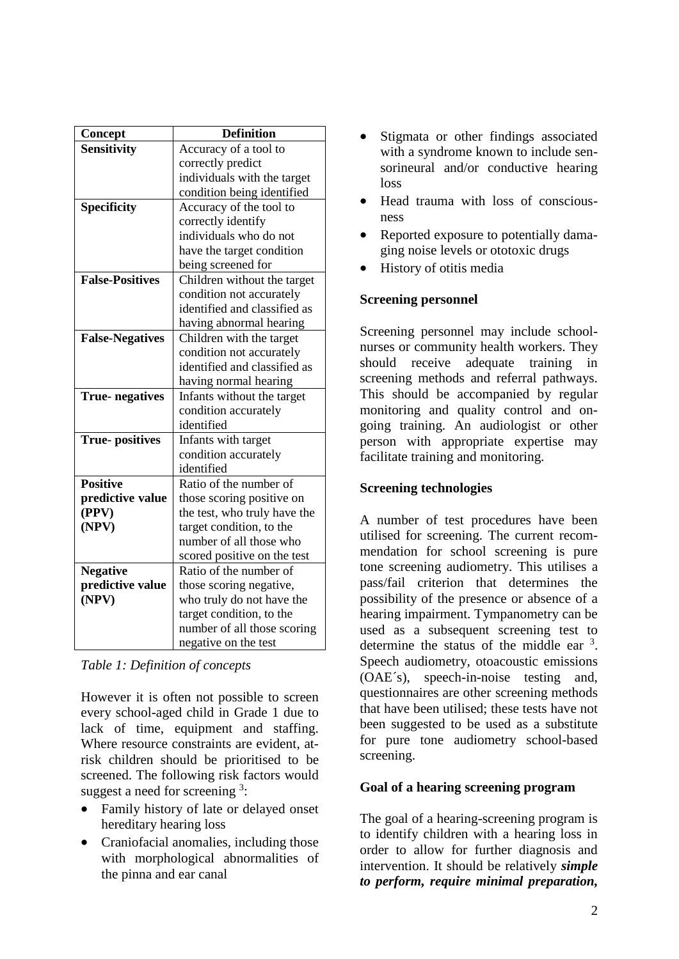| Concept                | <b>Definition</b>            |
|------------------------|------------------------------|
| <b>Sensitivity</b>     | Accuracy of a tool to        |
|                        | correctly predict            |
|                        | individuals with the target  |
|                        | condition being identified   |
| <b>Specificity</b>     | Accuracy of the tool to      |
|                        | correctly identify           |
|                        | individuals who do not       |
|                        | have the target condition    |
|                        | being screened for           |
| <b>False-Positives</b> | Children without the target  |
|                        | condition not accurately     |
|                        | identified and classified as |
|                        | having abnormal hearing      |
| <b>False-Negatives</b> | Children with the target     |
|                        | condition not accurately     |
|                        | identified and classified as |
|                        | having normal hearing        |
| <b>True-negatives</b>  | Infants without the target   |
|                        | condition accurately         |
|                        | identified                   |
| <b>True-positives</b>  | Infants with target          |
|                        | condition accurately         |
|                        | identified                   |
| <b>Positive</b>        | Ratio of the number of       |
| predictive value       | those scoring positive on    |
| (PPV)                  | the test, who truly have the |
| (NPV)                  | target condition, to the     |
|                        | number of all those who      |
|                        | scored positive on the test  |
| <b>Negative</b>        | Ratio of the number of       |
| predictive value       | those scoring negative,      |
| (NPV)                  | who truly do not have the    |
|                        | target condition, to the     |
|                        | number of all those scoring  |
|                        | negative on the test         |

*Table 1: Definition of concepts* 

However it is often not possible to screen every school-aged child in Grade 1 due to lack of time, equipment and staffing. Where resource constraints are evident, atrisk children should be prioritised to be screened. The following risk factors would suggest a need for screening  $3$ :

- Family history of late or delayed onset hereditary hearing loss
- Craniofacial anomalies, including those with morphological abnormalities of the pinna and ear canal
- Stigmata or other findings associated with a syndrome known to include sensorineural and/or conductive hearing loss
- Head trauma with loss of consciousness
- Reported exposure to potentially damaging noise levels or ototoxic drugs
- History of otitis media

# **Screening personnel**

Screening personnel may include schoolnurses or community health workers. They should receive adequate training in screening methods and referral pathways. This should be accompanied by regular monitoring and quality control and ongoing training. An audiologist or other person with appropriate expertise may facilitate training and monitoring.

# **Screening technologies**

A number of test procedures have been utilised for screening. The current recommendation for school screening is pure tone screening audiometry. This utilises a pass/fail criterion that determines the possibility of the presence or absence of a hearing impairment. Tympanometry can be used as a subsequent screening test to determine the status of the middle ear  $3$ . Speech audiometry, otoacoustic emissions (OAE´s), speech-in-noise testing and, questionnaires are other screening methods that have been utilised; these tests have not been suggested to be used as a substitute for pure tone audiometry school-based screening.

# **Goal of a hearing screening program**

The goal of a hearing-screening program is to identify children with a hearing loss in order to allow for further diagnosis and intervention. It should be relatively *simple to perform, require minimal preparation,*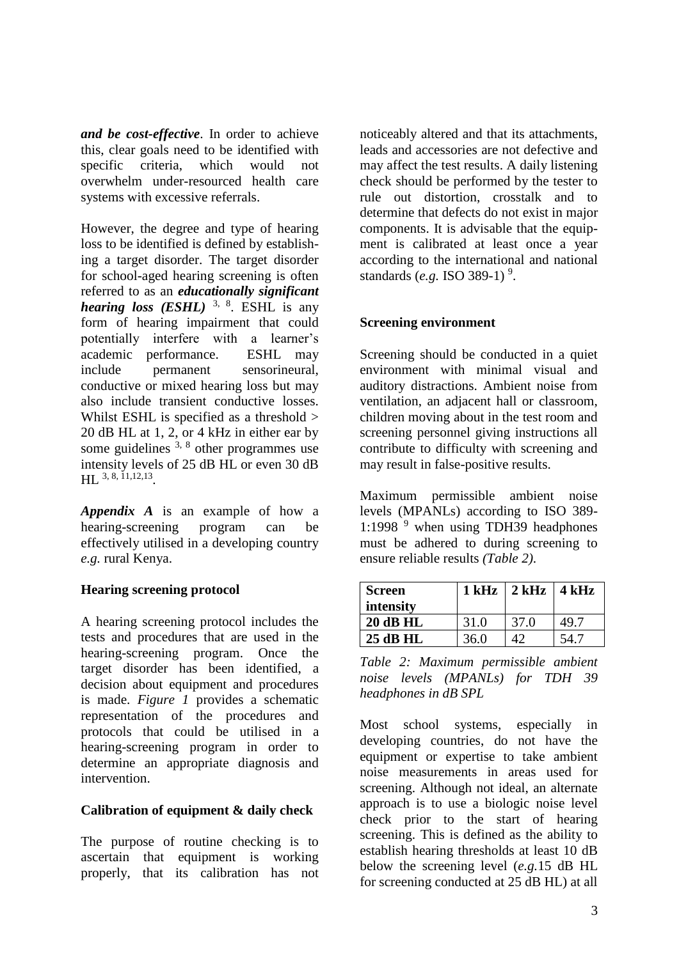*and be cost-effective*. In order to achieve this, clear goals need to be identified with specific criteria, which would not overwhelm under-resourced health care systems with excessive referrals.

However, the degree and type of hearing loss to be identified is defined by establishing a target disorder. The target disorder for school-aged hearing screening is often referred to as an *educationally significant hearing loss (ESHL)* 3, 8. ESHL is any form of hearing impairment that could potentially interfere with a learner's academic performance. ESHL may include permanent sensorineural, conductive or mixed hearing loss but may also include transient conductive losses. Whilst ESHL is specified as a threshold > 20 dB HL at 1, 2, or 4 kHz in either ear by some guidelines  $3, 8$  other programmes use intensity levels of 25 dB HL or even 30 dB HL 3, 8, 11,12,13 *.*

*Appendix A* is an example of how a hearing-screening program can be effectively utilised in a developing country *e.g.* rural Kenya.

# **Hearing screening protocol**

A hearing screening protocol includes the tests and procedures that are used in the hearing-screening program. Once the target disorder has been identified, a decision about equipment and procedures is made. *Figure 1* provides a schematic representation of the procedures and protocols that could be utilised in a hearing-screening program in order to determine an appropriate diagnosis and intervention.

#### **Calibration of equipment & daily check**

The purpose of routine checking is to ascertain that equipment is working properly, that its calibration has not noticeably altered and that its attachments, leads and accessories are not defective and may affect the test results. A daily listening check should be performed by the tester to rule out distortion, crosstalk and to determine that defects do not exist in major components. It is advisable that the equipment is calibrated at least once a year according to the international and national standards (*e.g.* ISO 389-1)<sup>9</sup>.

#### **Screening environment**

Screening should be conducted in a quiet environment with minimal visual and auditory distractions. Ambient noise from ventilation, an adjacent hall or classroom, children moving about in the test room and screening personnel giving instructions all contribute to difficulty with screening and may result in false-positive results.

Maximum permissible ambient noise levels (MPANLs) according to ISO 389- 1:1998<sup>9</sup> when using TDH39 headphones must be adhered to during screening to ensure reliable results *(Table 2)*.

| <b>Screen</b>   |      | $1$ kHz $\mid$ 2 kHz $\mid$ 4 kHz |      |
|-----------------|------|-----------------------------------|------|
| intensity       |      |                                   |      |
| <b>20 dB HL</b> | 31.0 | 37.0                              | 49.7 |
| 25 dB HL        | 36.0 | $\Lambda$                         | 54 C |

*Table 2: Maximum permissible ambient noise levels (MPANLs) for TDH 39 headphones in dB SPL*

Most school systems, especially in developing countries, do not have the equipment or expertise to take ambient noise measurements in areas used for screening. Although not ideal, an alternate approach is to use a biologic noise level check prior to the start of hearing screening. This is defined as the ability to establish hearing thresholds at least 10 dB below the screening level (*e.g.*15 dB HL for screening conducted at 25 dB HL) at all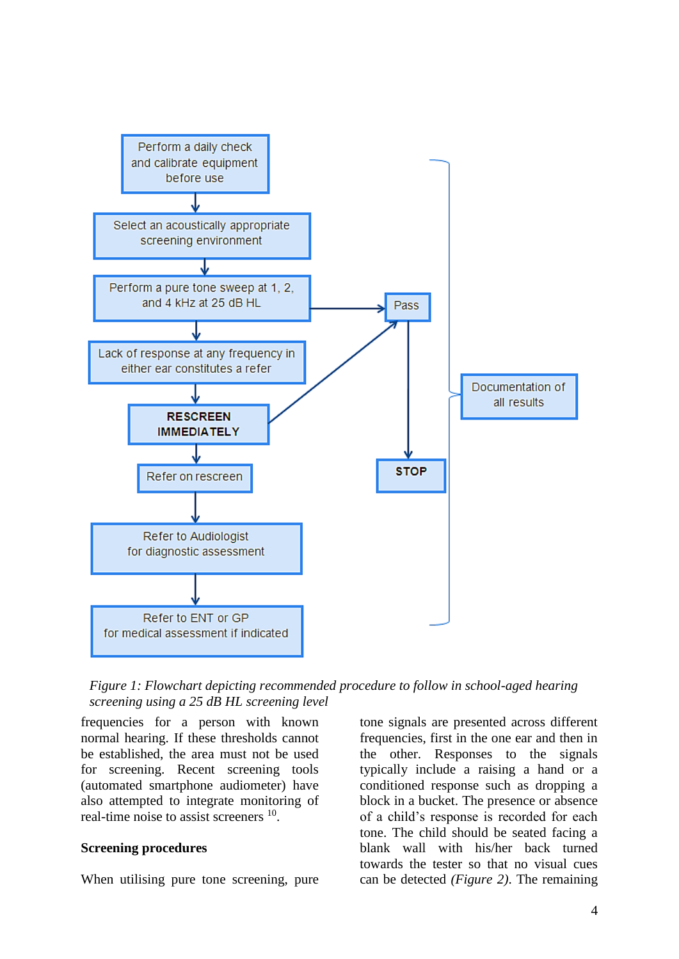

*Figure 1: Flowchart depicting recommended procedure to follow in school-aged hearing screening using a 25 dB HL screening level*

frequencies for a person with known normal hearing. If these thresholds cannot be established, the area must not be used for screening. Recent screening tools (automated smartphone audiometer) have also attempted to integrate monitoring of real-time noise to assist screeners <sup>10</sup>.

#### **Screening procedures**

When utilising pure tone screening, pure

tone signals are presented across different frequencies, first in the one ear and then in the other. Responses to the signals typically include a raising a hand or a conditioned response such as dropping a block in a bucket. The presence or absence of a child's response is recorded for each tone. The child should be seated facing a blank wall with his/her back turned towards the tester so that no visual cues can be detected *(Figure 2)*. The remaining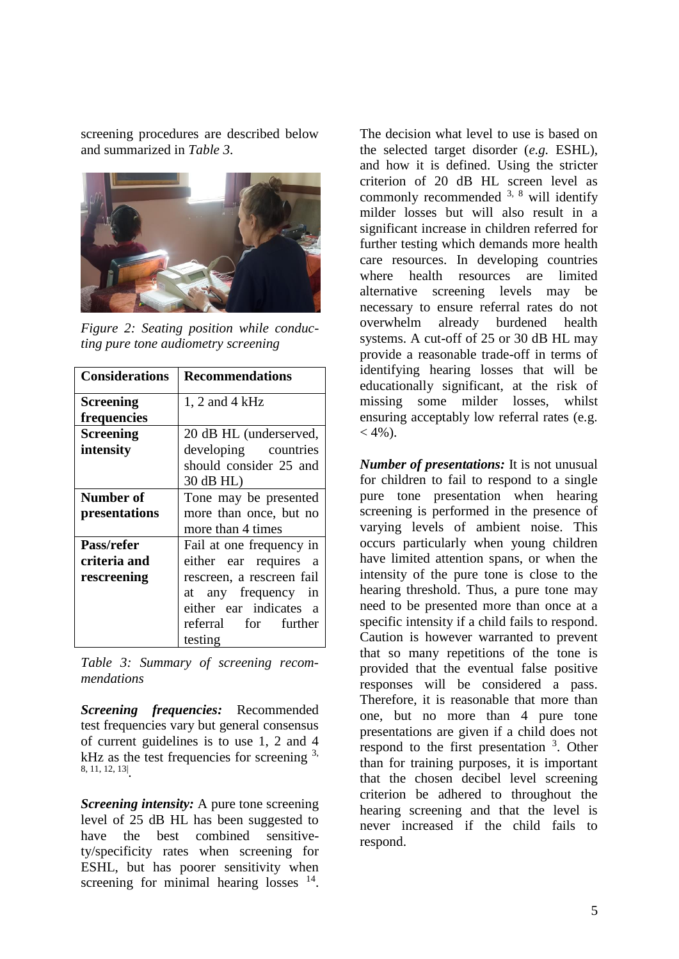screening procedures are described below and summarized in *Table 3*.



*Figure 2: Seating position while conducting pure tone audiometry screening*

| <b>Considerations</b> | <b>Recommendations</b>                 |
|-----------------------|----------------------------------------|
| <b>Screening</b>      | $1, 2$ and $4$ kHz                     |
| frequencies           |                                        |
| <b>Screening</b>      | 20 dB HL (underserved,                 |
| intensity             | developing countries                   |
|                       | should consider 25 and                 |
|                       | 30 dB HL)                              |
| <b>Number of</b>      | Tone may be presented                  |
| presentations         | more than once, but no                 |
|                       | more than 4 times                      |
| Pass/refer            | Fail at one frequency in               |
| criteria and          | either ear requires<br>a               |
| rescreening           | rescreen, a rescreen fail              |
|                       | at any frequency in                    |
|                       | either ear indicates<br>$\overline{a}$ |
|                       | referral for further                   |
|                       | testing                                |

*Table 3: Summary of screening recommendations*

*Screening frequencies:* Recommended test frequencies vary but general consensus of current guidelines is to use 1, 2 and 4 kHz as the test frequencies for screening  $3$ , 8, 11, 12, 13| .

*Screening intensity:* A pure tone screening level of 25 dB HL has been suggested to have the best combined sensitivety/specificity rates when screening for ESHL, but has poorer sensitivity when screening for minimal hearing losses  $14$ . The decision what level to use is based on the selected target disorder (*e.g.* ESHL), and how it is defined. Using the stricter criterion of 20 dB HL screen level as commonly recommended  $3$ ,  $8$  will identify milder losses but will also result in a significant increase in children referred for further testing which demands more health care resources. In developing countries where health resources are limited alternative screening levels may be necessary to ensure referral rates do not overwhelm already burdened health systems. A cut-off of 25 or 30 dB HL may provide a reasonable trade-off in terms of identifying hearing losses that will be educationally significant, at the risk of missing some milder losses, whilst ensuring acceptably low referral rates (e.g.  $<$  4%).

*Number of presentations:* It is not unusual for children to fail to respond to a single pure tone presentation when hearing screening is performed in the presence of varying levels of ambient noise. This occurs particularly when young children have limited attention spans, or when the intensity of the pure tone is close to the hearing threshold. Thus, a pure tone may need to be presented more than once at a specific intensity if a child fails to respond. Caution is however warranted to prevent that so many repetitions of the tone is provided that the eventual false positive responses will be considered a pass. Therefore, it is reasonable that more than one, but no more than 4 pure tone presentations are given if a child does not respond to the first presentation <sup>3</sup>. Other than for training purposes, it is important that the chosen decibel level screening criterion be adhered to throughout the hearing screening and that the level is never increased if the child fails to respond.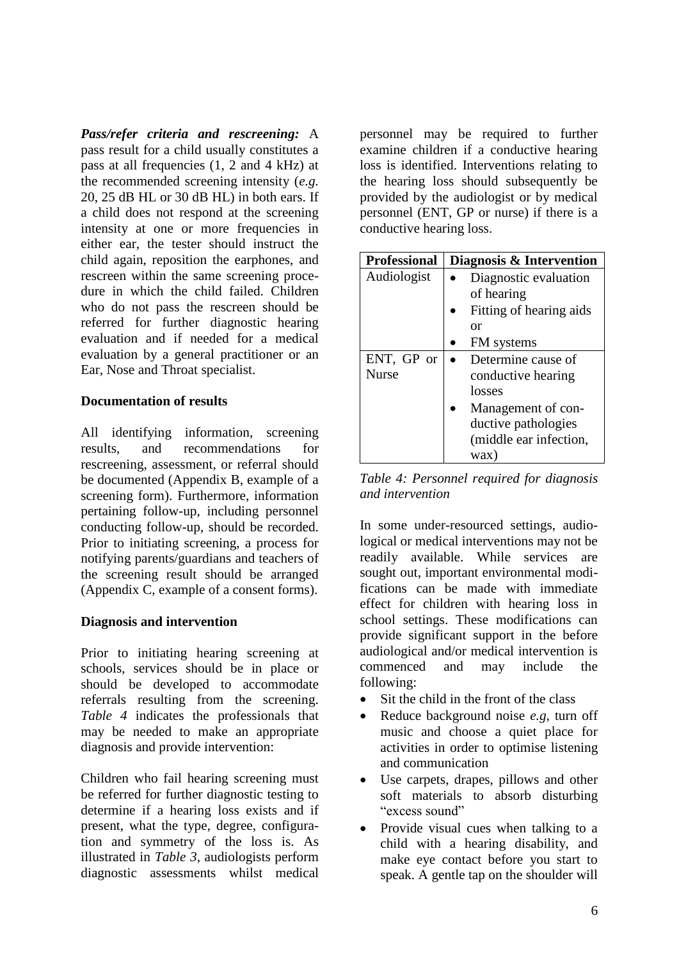*Pass/refer criteria and rescreening:* A pass result for a child usually constitutes a pass at all frequencies (1, 2 and 4 kHz) at the recommended screening intensity (*e.g.* 20, 25 dB HL or 30 dB HL) in both ears. If a child does not respond at the screening intensity at one or more frequencies in either ear, the tester should instruct the child again, reposition the earphones, and rescreen within the same screening procedure in which the child failed. Children who do not pass the rescreen should be referred for further diagnostic hearing evaluation and if needed for a medical evaluation by a general practitioner or an Ear, Nose and Throat specialist.

# **Documentation of results**

All identifying information, screening results, and recommendations for rescreening, assessment, or referral should be documented (Appendix B, example of a screening form). Furthermore, information pertaining follow-up, including personnel conducting follow-up, should be recorded. Prior to initiating screening, a process for notifying parents/guardians and teachers of the screening result should be arranged (Appendix C, example of a consent forms).

#### **Diagnosis and intervention**

Prior to initiating hearing screening at schools, services should be in place or should be developed to accommodate referrals resulting from the screening. *Table 4* indicates the professionals that may be needed to make an appropriate diagnosis and provide intervention:

Children who fail hearing screening must be referred for further diagnostic testing to determine if a hearing loss exists and if present, what the type, degree, configuration and symmetry of the loss is. As illustrated in *Table 3*, audiologists perform diagnostic assessments whilst medical

personnel may be required to further examine children if a conductive hearing loss is identified. Interventions relating to the hearing loss should subsequently be provided by the audiologist or by medical personnel (ENT, GP or nurse) if there is a conductive hearing loss.

| <b>Professional</b> | Diagnosis & Intervention |
|---------------------|--------------------------|
| Audiologist         | Diagnostic evaluation    |
|                     | of hearing               |
|                     | Fitting of hearing aids  |
|                     | or                       |
|                     | FM systems               |
| ENT, GP or          | Determine cause of       |
| <b>Nurse</b>        | conductive hearing       |
|                     | losses                   |
|                     | Management of con-       |
|                     | ductive pathologies      |
|                     | (middle ear infection,   |
|                     | wax)                     |

*Table 4: Personnel required for diagnosis and intervention*

In some under-resourced settings, audiological or medical interventions may not be readily available. While services are sought out, important environmental modifications can be made with immediate effect for children with hearing loss in school settings. These modifications can provide significant support in the before audiological and/or medical intervention is commenced and may include the following:

- Sit the child in the front of the class
- Reduce background noise *e.g,* turn off music and choose a quiet place for activities in order to optimise listening and communication
- Use carpets, drapes, pillows and other soft materials to absorb disturbing "excess sound"
- Provide visual cues when talking to a child with a hearing disability, and make eye contact before you start to speak. A gentle tap on the shoulder will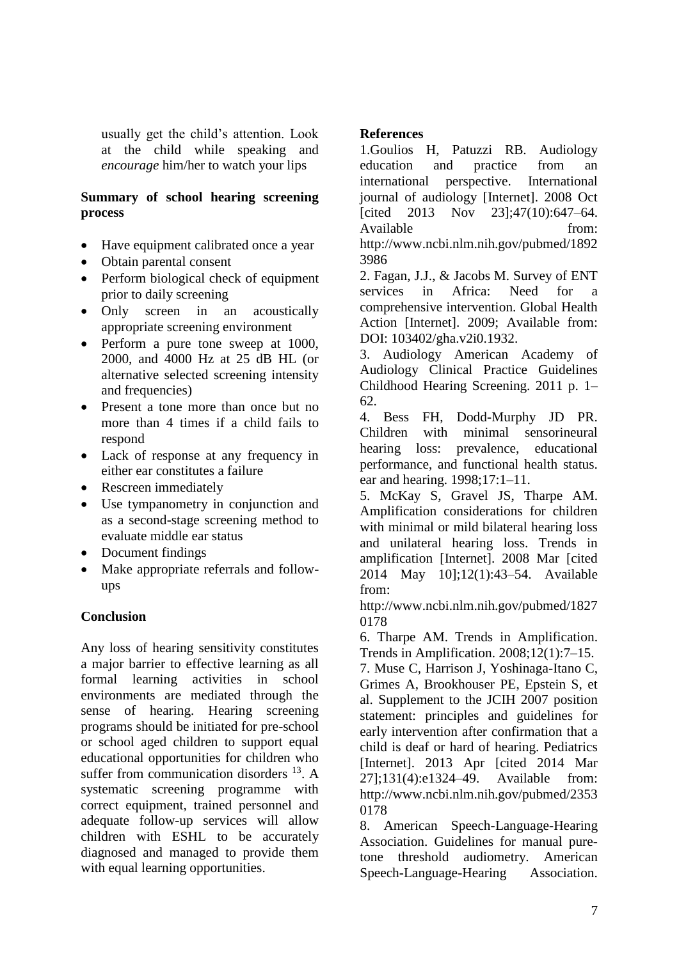usually get the child's attention. Look at the child while speaking and *encourage* him/her to watch your lips

# **Summary of school hearing screening process**

- Have equipment calibrated once a year
- Obtain parental consent
- Perform biological check of equipment prior to daily screening
- Only screen in an acoustically appropriate screening environment
- Perform a pure tone sweep at 1000, 2000, and 4000 Hz at 25 dB HL (or alternative selected screening intensity and frequencies)
- Present a tone more than once but no more than 4 times if a child fails to respond
- Lack of response at any frequency in either ear constitutes a failure
- Rescreen immediately
- Use tympanometry in conjunction and as a second-stage screening method to evaluate middle ear status
- Document findings
- Make appropriate referrals and followups

# **Conclusion**

Any loss of hearing sensitivity constitutes a major barrier to effective learning as all formal learning activities in school environments are mediated through the sense of hearing. Hearing screening programs should be initiated for pre-school or school aged children to support equal educational opportunities for children who suffer from communication disorders  $^{13}$ . A systematic screening programme with correct equipment, trained personnel and adequate follow-up services will allow children with ESHL to be accurately diagnosed and managed to provide them with equal learning opportunities.

# **References**

1.Goulios H, Patuzzi RB. Audiology education and practice from an international perspective. International journal of audiology [Internet]. 2008 Oct [cited 2013 Nov 23];47(10):647–64. Available from: http://www.ncbi.nlm.nih.gov/pubmed/1892 3986

2. Fagan, J.J., & Jacobs M. Survey of ENT services in Africa: Need for a comprehensive intervention. Global Health Action [Internet]. 2009; Available from: DOI: 103402/gha.v2i0.1932.

3. Audiology American Academy of Audiology Clinical Practice Guidelines Childhood Hearing Screening. 2011 p. 1– 62.

4. Bess FH, Dodd-Murphy JD PR. Children with minimal sensorineural hearing loss: prevalence, educational performance, and functional health status. ear and hearing. 1998;17:1–11.

5. McKay S, Gravel JS, Tharpe AM. Amplification considerations for children with minimal or mild bilateral hearing loss and unilateral hearing loss. Trends in amplification [Internet]. 2008 Mar [cited 2014 May 10];12(1):43–54. Available from:

http://www.ncbi.nlm.nih.gov/pubmed/1827 0178

6. Tharpe AM. Trends in Amplification. Trends in Amplification. 2008;12(1):7–15.

7. Muse C, Harrison J, Yoshinaga-Itano C, Grimes A, Brookhouser PE, Epstein S, et al. Supplement to the JCIH 2007 position statement: principles and guidelines for early intervention after confirmation that a child is deaf or hard of hearing. Pediatrics [Internet]. 2013 Apr [cited 2014 Mar 27];131(4):e1324–49. Available from: http://www.ncbi.nlm.nih.gov/pubmed/2353 0178

8. American Speech-Language-Hearing Association. Guidelines for manual puretone threshold audiometry. American Speech-Language-Hearing Association.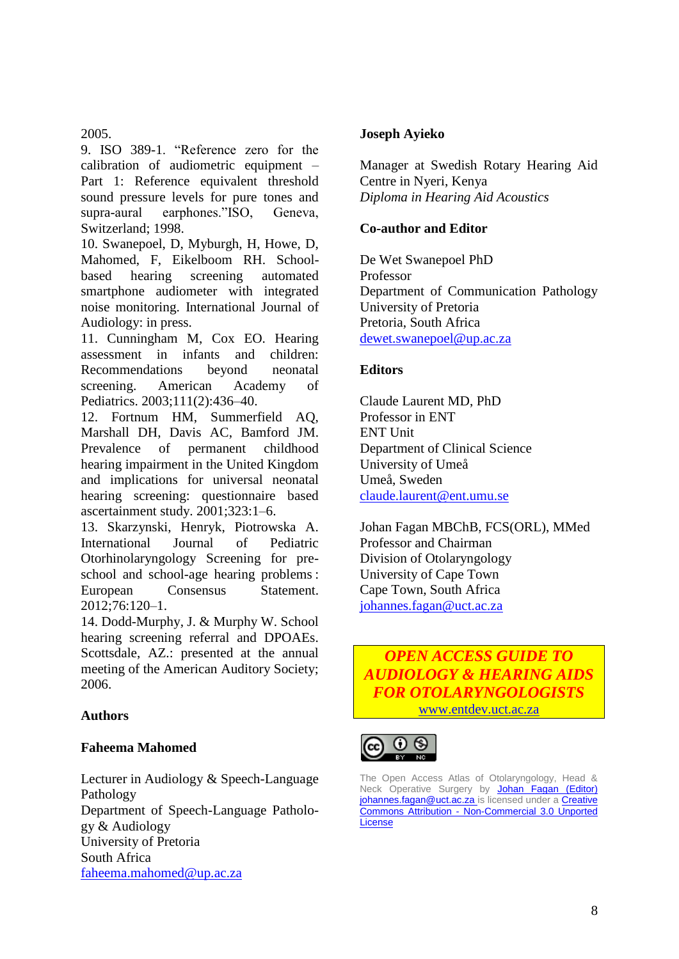2005.

9. ISO 389-1. "Reference zero for the calibration of audiometric equipment – Part 1: Reference equivalent threshold sound pressure levels for pure tones and supra-aural earphones."ISO, Geneva, Switzerland; 1998.

10. Swanepoel, D, Myburgh, H, Howe, D, Mahomed, F, Eikelboom RH. Schoolbased hearing screening automated smartphone audiometer with integrated noise monitoring. International Journal of Audiology: in press.

11. Cunningham M, Cox EO. Hearing assessment in infants and children: Recommendations beyond neonatal screening. American Academy of Pediatrics. 2003;111(2):436–40.

12. Fortnum HM, Summerfield AQ, Marshall DH, Davis AC, Bamford JM. Prevalence of permanent childhood hearing impairment in the United Kingdom and implications for universal neonatal hearing screening: questionnaire based ascertainment study. 2001;323:1–6.

13. Skarzynski, Henryk, Piotrowska A. International Journal of Pediatric Otorhinolaryngology Screening for preschool and school-age hearing problems :<br>European Consensus Statement European Consensus Statement. 2012;76:120–1.

14. Dodd-Murphy, J. & Murphy W. School hearing screening referral and DPOAEs. Scottsdale, AZ.: presented at the annual meeting of the American Auditory Society; 2006.

# **Authors**

# **Faheema Mahomed**

Lecturer in Audiology & Speech-Language Pathology Department of Speech-Language Pathology & Audiology University of Pretoria South Africa [faheema.mahomed@up.ac.za](mailto:faheema.mahomed@up.ac.za)

# **Joseph Ayieko**

Manager at Swedish Rotary Hearing Aid Centre in Nyeri, Kenya *Diploma in Hearing Aid Acoustics* 

# **Co-author and Editor**

De Wet Swanepoel PhD Professor Department of Communication Pathology University of Pretoria Pretoria, South Africa [dewet.swanepoel@up.ac.za](mailto:dewet.swanepoel@up.ac.za)

# **Editors**

Claude Laurent MD, PhD Professor in ENT ENT Unit Department of Clinical Science University of Umeå Umeå, Sweden [claude.laurent@ent.umu.se](mailto:claude.laurent@ent.umu.se)

Johan Fagan MBChB, FCS(ORL), MMed Professor and Chairman Division of Otolaryngology University of Cape Town Cape Town, South Africa [johannes.fagan@uct.ac.za](mailto:johannes.fagan@uct.ac.za)





The Open Access Atlas of Otolaryngology, Head & Neck Operative Surgery by Johan Fagan (Editor) [johannes.fagan@uct.ac.za is](http://creativecommons.org/choose/www.entdev.uct.ac.za/index_files/Page650.htm) licensed under a Creative Commons Attribution - [Non-Commercial 3.0 Unported](http://creativecommons.org/licenses/by-nc/3.0/)  **[License](http://creativecommons.org/licenses/by-nc/3.0/)**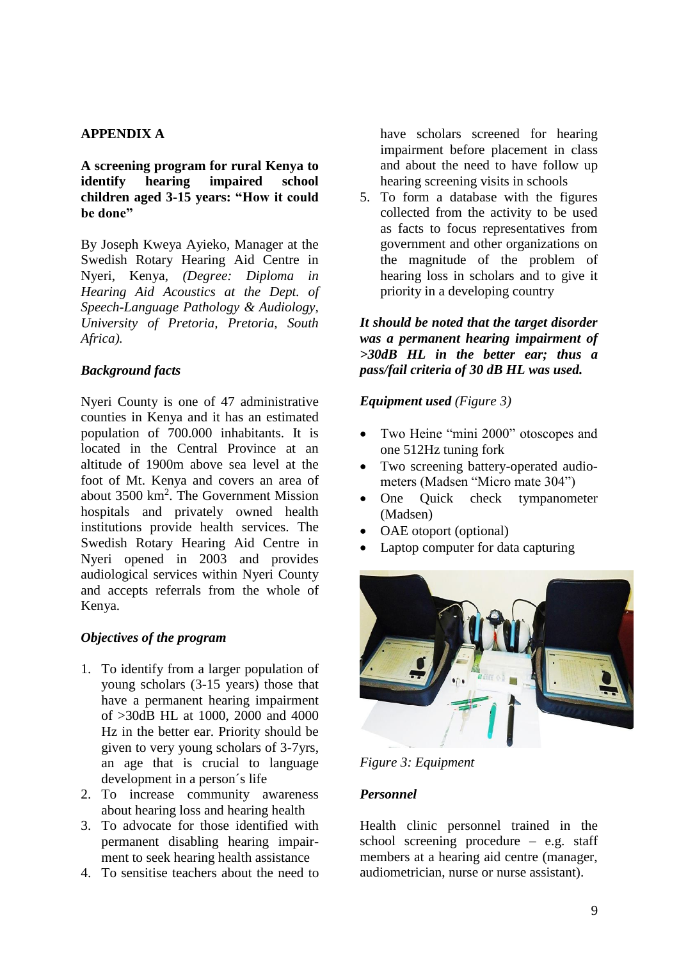# **APPENDIX A**

**A screening program for rural Kenya to identify hearing impaired school children aged 3-15 years: "How it could be done"** 

By Joseph Kweya Ayieko, Manager at the Swedish Rotary Hearing Aid Centre in Nyeri, Kenya, *(Degree: Diploma in Hearing Aid Acoustics at the Dept. of Speech-Language Pathology & Audiology, University of Pretoria, Pretoria, South Africa).*

#### *Background facts*

Nyeri County is one of 47 administrative counties in Kenya and it has an estimated population of 700.000 inhabitants. It is located in the Central Province at an altitude of 1900m above sea level at the foot of Mt. Kenya and covers an area of about 3500 km<sup>2</sup>. The Government Mission hospitals and privately owned health institutions provide health services. The Swedish Rotary Hearing Aid Centre in Nyeri opened in 2003 and provides audiological services within Nyeri County and accepts referrals from the whole of Kenya.

# *Objectives of the program*

- 1. To identify from a larger population of young scholars (3-15 years) those that have a permanent hearing impairment of >30dB HL at 1000, 2000 and 4000 Hz in the better ear. Priority should be given to very young scholars of 3-7yrs, an age that is crucial to language development in a person´s life
- 2. To increase community awareness about hearing loss and hearing health
- 3. To advocate for those identified with permanent disabling hearing impairment to seek hearing health assistance
- 4. To sensitise teachers about the need to

have scholars screened for hearing impairment before placement in class and about the need to have follow up hearing screening visits in schools

5. To form a database with the figures collected from the activity to be used as facts to focus representatives from government and other organizations on the magnitude of the problem of hearing loss in scholars and to give it priority in a developing country

*It should be noted that the target disorder was a permanent hearing impairment of >30dB HL in the better ear; thus a pass/fail criteria of 30 dB HL was used.*

#### *Equipment used (Figure 3)*

- Two Heine "mini 2000" otoscopes and one 512Hz tuning fork
- Two screening battery-operated audiometers (Madsen "Micro mate 304")
- One Quick check tympanometer (Madsen)
- OAE otoport (optional)
- Laptop computer for data capturing



*Figure 3: Equipment*

# *Personnel*

Health clinic personnel trained in the school screening procedure – e.g. staff members at a hearing aid centre (manager, audiometrician, nurse or nurse assistant).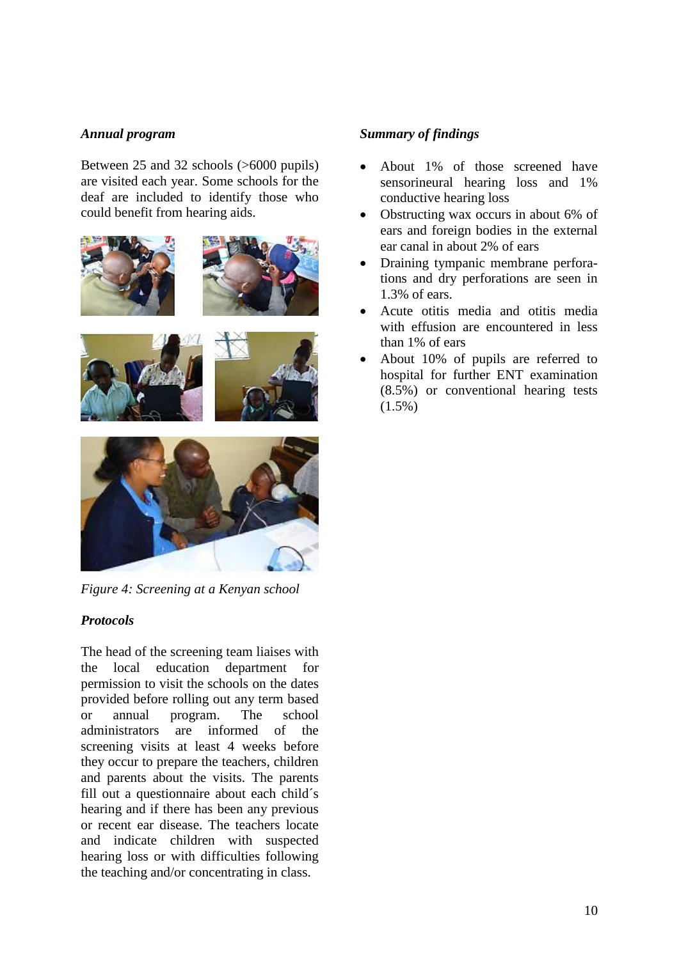#### *Annual program*

Between 25 and 32 schools (>6000 pupils) are visited each year. Some schools for the deaf are included to identify those who could benefit from hearing aids.







*Figure 4: Screening at a Kenyan school*

# *Protocols*

The head of the screening team liaises with the local education department for permission to visit the schools on the dates provided before rolling out any term based or annual program. The school administrators are informed of the screening visits at least 4 weeks before they occur to prepare the teachers, children and parents about the visits. The parents fill out a questionnaire about each child´s hearing and if there has been any previous or recent ear disease. The teachers locate and indicate children with suspected hearing loss or with difficulties following the teaching and/or concentrating in class.

# *Summary of findings*

- About 1% of those screened have sensorineural hearing loss and 1% conductive hearing loss
- Obstructing wax occurs in about 6% of ears and foreign bodies in the external ear canal in about 2% of ears
- Draining tympanic membrane perforations and dry perforations are seen in 1.3% of ears.
- Acute otitis media and otitis media with effusion are encountered in less than 1% of ears
- About 10% of pupils are referred to hospital for further ENT examination (8.5%) or conventional hearing tests (1.5%)